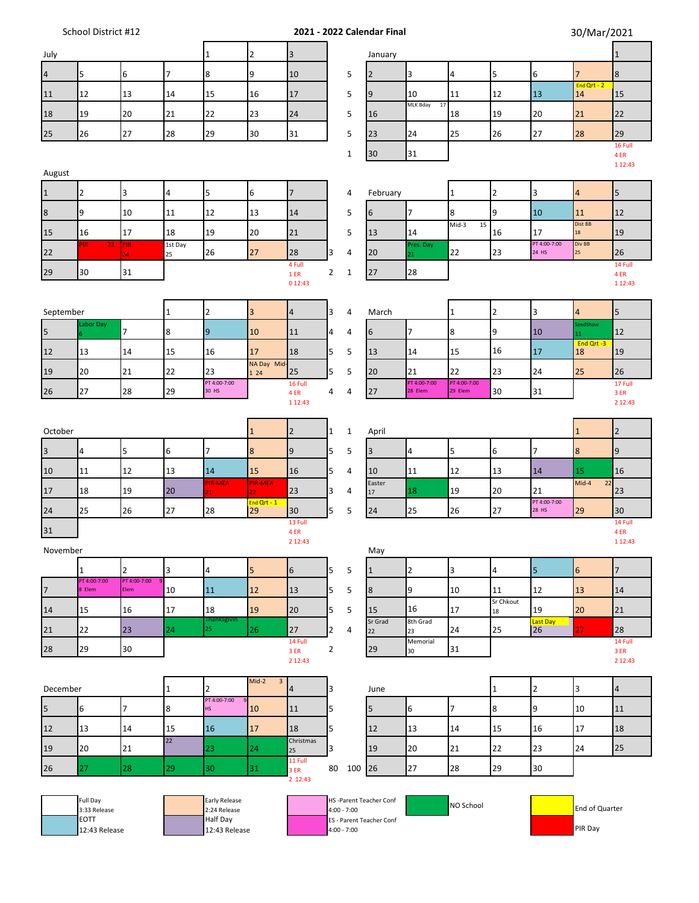| School District #12 |  |
|---------------------|--|
|---------------------|--|

**Solution 2021 - 2022 Calendar Final** 30/Mar/2021<br> **Solution 1** 

 $\blacksquare$ 

| July           |                              |                      |                         | $\mathbf{1}$                  | $\overline{2}$             | $\overline{3}$          |                |               | January                  |                         |                         |                         |                       |                     | $1\,$           |
|----------------|------------------------------|----------------------|-------------------------|-------------------------------|----------------------------|-------------------------|----------------|---------------|--------------------------|-------------------------|-------------------------|-------------------------|-----------------------|---------------------|-----------------|
| $\overline{a}$ | 5                            | 6                    | 7                       | $\bf 8$                       | 9                          | 10                      |                | 5             | $\overline{2}$           | 3                       | $\overline{\mathbf{4}}$ | 5                       | $\boldsymbol{6}$      | $\overline{7}$      | $\bf 8$         |
| 11             | 12                           | 13                   | 14                      | 15                            | 16                         | 17                      |                | 5             | 9                        | 10                      | 11                      | 12                      | 13                    | End Qrt - $2$<br>14 | 15              |
| 18             | 19                           | 20                   | 21                      | 22                            | 23                         | 24                      |                | 5             | 16                       | MLK Bday<br>17          | 18                      | 19                      | 20                    | 21                  | 22              |
| 25             | 26                           | 27                   | 28                      | 29                            | 30                         | 31                      |                | 5             | 23                       | 24                      | 25                      | 26                      | 27                    | 28                  | 29              |
|                |                              |                      |                         |                               |                            |                         |                | $\mathbf 1$   | 30                       | 31                      |                         |                         |                       |                     | 16 Full<br>4 ER |
| August         |                              |                      |                         |                               |                            |                         |                |               |                          |                         |                         |                         |                       |                     | 1 1 2:43        |
| $\vert$ 1      | $\overline{2}$               | 3                    | $\overline{\mathbf{4}}$ | 5                             | 6                          | $\overline{7}$          |                | 4             | February                 |                         | $\mathbf{1}$            | $\overline{2}$          | 3                     | 4                   | 5               |
| 8              | 9                            | 10                   | 11                      | 12                            | 13                         | 14                      |                | 5             | 6                        | $\overline{7}$          | 8                       | 9                       | 10                    | 11                  | 12              |
| 15             | 16                           | 17                   | 18                      | 19                            | 20                         | 21                      |                | 5             | 13                       | 14                      | Mid-3<br>15             | 16                      | 17                    | Dist BB<br>18       | 19              |
| 22             | <b>PIR</b><br>23             | PIR<br>24            | 1st Day<br>25           | 26                            | 27                         | 28                      | 3              | 4             | 20                       | Pres. Day<br>21         | 22                      | 23                      | PT 4:00-7:00<br>24 HS | Div BB<br>25        | 26              |
| 29             | 30                           | 31                   |                         |                               |                            | 4 Full<br>1ER           | $\overline{2}$ | $\mathbf{1}$  | 27                       | 28                      |                         |                         |                       |                     | 14 Full<br>4 ER |
|                |                              |                      |                         |                               |                            | 0 12:43                 |                |               |                          |                         |                         |                         |                       |                     | 1 1 2:43        |
| September      |                              |                      | $\mathbf{1}$            | $\overline{2}$                | 3                          | $\overline{\mathbf{4}}$ | 3              | 4             | March                    |                         | $\mathbf{1}$            | $\overline{2}$          | 3                     | $\overline{4}$      | 5               |
| 5              | abor Day                     | $\overline{7}$       | 8                       | $\overline{9}$                | 10                         | 11                      | 4              | 4             | 6                        | $\overline{7}$          | 8                       | 9                       | 10                    | SeedShow<br>11      | 12              |
| 12             | 13                           | 14                   | 15                      | 16                            | 17                         | 18                      | 5              | 5             | 13                       | 14                      | 15                      | 16                      | 17                    | End Qrt-3<br>18     | 19              |
| 19             | 20                           | 21                   | 22                      | 23                            | NA Day Mid-<br>1 24        | 25                      | 5              | 5             | 20                       | 21                      | 22                      | 23                      | 24                    | 25                  | 26              |
| 26             | 27                           | 28                   | 29                      | PT 4:00-7:00<br>30 HS         |                            | 16 Full<br>4 ER         | 4              | 4             | 27                       | PT 4:00-7:00<br>28 Elem | PT 4:00-7:00<br>29 Elem | 30                      | 31                    |                     | 17 Full<br>3 ER |
|                |                              |                      |                         |                               |                            | 1 1 2:43                |                |               |                          |                         |                         |                         |                       |                     | 2 12:43         |
| October        |                              |                      |                         |                               | $\mathbf{1}$               | $\overline{2}$          | 1              | $\mathbf 1$   | April                    |                         |                         |                         |                       | $1\,$               | $\overline{2}$  |
| $\overline{3}$ | 4                            | 5                    | 6                       | $\overline{7}$                | $8\phantom{1}$             | 9                       | 5              | 5             | $\overline{3}$           | $\overline{4}$          | 5                       | 6                       | $\overline{7}$        | $\bf{8}$            | 9               |
| 10             | 11                           | 12                   | 13                      | 14                            | 15                         | 16                      | 5              | 4             | 10                       | 11                      | 12                      | 13                      | 14                    | 15                  | 16              |
| 17             | 18                           | 19                   | 20                      | PIR-MEA<br>21 <sub>1</sub>    | PIR-MEA<br>22 <sub>1</sub> | 23                      | 3              | 4             | Easter<br>17             | 18                      | 19                      | 20                      | 21                    | $Mid-4$<br>22       | 23              |
| 24             | 25                           | 26                   | 27                      | 28                            | End $Qrt - 1$<br>29        | 30                      | 5              | 5             | 24                       | 25                      | 26                      | 27                      | PT 4:00-7:00<br>28 HS | 29                  | 30              |
| 31             |                              |                      |                         |                               |                            | 13 Full<br>4 ER         |                |               |                          |                         |                         |                         |                       |                     | 14 Full<br>4 ER |
| November       |                              |                      |                         |                               |                            | 2 12:43                 |                |               | May                      |                         |                         |                         |                       |                     | 1 1 2:43        |
|                | $\mathbf 1$                  | $\overline{2}$       | 3                       | $\overline{\mathbf{4}}$       | 5                          | $\sqrt{6}$              | 5              | 5             | $\mathbf{1}$             | $\overline{2}$          | 3                       | $\overline{\mathbf{4}}$ | 5                     | $\boldsymbol{6}$    | $\overline{7}$  |
| 17             | PT 4:00-7:00<br>8 Elem       | PT 4:00-7:00<br>Elem | 10                      | 11                            | 12                         | 13                      | 5              | 5             | 8                        | 9                       | 10                      | 11                      | 12                    | 13                  | 14              |
| 14             | 15                           | 16                   | 17                      | 18                            | 19                         | 20                      | 5              | 5             | 15                       | 16                      | 17                      | Sr Chkout<br>18         | 19                    | 20                  | 21              |
| 21             | 22                           | 23                   | 24                      | <b>Ihanksgivin</b><br>25      | 26                         | 27                      | $\overline{2}$ | 4             | Sr Grad<br>22            | 8th Grad<br>23          | 24                      | 25                      | Last Day<br>26        | 27                  | 28              |
| 28             | 29                           | 30                   |                         |                               |                            | 14 Full<br>3ER          | $\overline{2}$ |               | 29                       | Memorial<br>30          | 31                      |                         |                       |                     | 14 Full<br>3ER  |
|                |                              |                      |                         |                               |                            | 2 12:43                 |                |               |                          |                         |                         |                         |                       |                     | 2 12:43         |
| December       |                              |                      | $\mathbf{1}$            | $\overline{2}$                | Mid-2<br>$\mathbf{3}$      | 4                       | 3              |               | June                     |                         |                         | $\mathbf{1}$            | $\overline{2}$        | 3                   | $\overline{4}$  |
| 5              | 6                            | $\overline{7}$       | $\bf 8$                 | PT 4:00-7:00<br><b>HS</b>     | 10                         | 11                      | 5              |               | 5                        | 6                       | $\overline{7}$          | 8                       | 9                     | 10                  | 11              |
| 12             | 13                           | 14                   | 15                      | 16                            | 17                         | 18                      | 5              |               | 12                       | 13                      | 14                      | 15                      | 16                    | 17                  | 18              |
| 19             | 20                           | 21                   | 22                      | 23                            | 24                         | Christmas<br>25         | 3              |               | 19                       | 20                      | 21                      | 22                      | 23                    | 24                  | 25              |
| 26             | 27                           | 28                   | 29                      | 30                            | 31                         | 11 Full<br>3 ER         | 80             | 100           | 26                       | 27                      | 28                      | 29                      | 30                    |                     |                 |
|                |                              |                      |                         |                               |                            | 2 12:43                 |                |               |                          |                         |                         |                         |                       |                     |                 |
|                | Full Day<br>3:33 Release     |                      |                         | Early Release<br>2:24 Release |                            |                         |                | $4:00 - 7:00$ | HS-Parent Teacher Conf   |                         | NO School               |                         |                       | End of Quarter      |                 |
|                | <b>EOTT</b><br>12:43 Release |                      |                         | Half Day<br>12:43 Release     |                            |                         |                | $4:00 - 7:00$ | ES - Parent Teacher Conf |                         |                         |                         |                       | PIR Day             |                 |
|                |                              |                      |                         |                               |                            |                         |                |               |                          |                         |                         |                         |                       |                     |                 |